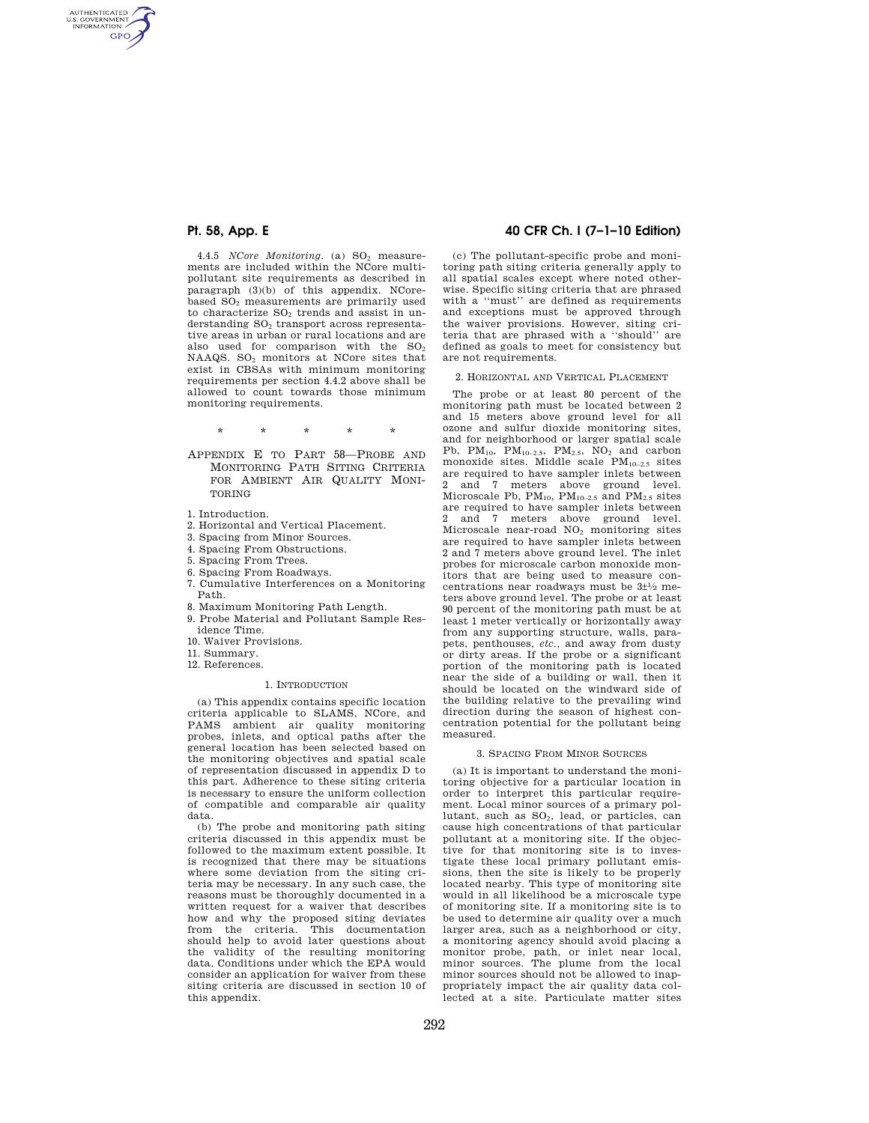AUTHENTICATED<br>U.S. GOVERNMENT<br>INFORMATION **GPO** 

> 4.4.5 *NCore Monitoring.* (a) SO<sub>2</sub> measurements are included within the NCore multipollutant site requirements as described in paragraph (3)(b) of this appendix. NCorebased SO<sup>2</sup> measurements are primarily used to characterize  $SO<sub>2</sub>$  trends and assist in understanding  $SO<sub>2</sub>$  transport across representative areas in urban or rural locations and are also used for comparison with the  $SO<sub>2</sub>$ NAAQS. SO<sup>2</sup> monitors at NCore sites that exist in CBSAs with minimum monitoring requirements per section 4.4.2 above shall be allowed to count towards those minimum monitoring requirements.

> > \* \* \* \* \*

- APPENDIX E TO PART 58—PROBE AND MONITORING PATH SITING CRITERIA FOR AMBIENT AIR QUALITY MONI-TORING
- 1. Introduction.
- 2. Horizontal and Vertical Placement.
- 3. Spacing from Minor Sources.
- 4. Spacing From Obstructions.
- 5. Spacing From Trees.
- 6. Spacing From Roadways.
- 7. Cumulative Interferences on a Monitoring Path.
- 8. Maximum Monitoring Path Length.
- 9. Probe Material and Pollutant Sample Residence Time.
- 10. Waiver Provisions.
- 11. Summary.
- 12. References.
	-

## 1. INTRODUCTION

(a) This appendix contains specific location criteria applicable to SLAMS, NCore, and PAMS ambient air quality monitoring probes, inlets, and optical paths after the general location has been selected based on the monitoring objectives and spatial scale of representation discussed in appendix D to this part. Adherence to these siting criteria is necessary to ensure the uniform collection of compatible and comparable air quality data.

(b) The probe and monitoring path siting criteria discussed in this appendix must be followed to the maximum extent possible. It is recognized that there may be situations where some deviation from the siting criteria may be necessary. In any such case, the reasons must be thoroughly documented in a written request for a waiver that describes how and why the proposed siting deviates from the criteria. This documentation should help to avoid later questions about the validity of the resulting monitoring data. Conditions under which the EPA would consider an application for waiver from these siting criteria are discussed in section 10 of this appendix.

## **Pt. 58, App. E 40 CFR Ch. I (7–1–10 Edition)**

(c) The pollutant-specific probe and monitoring path siting criteria generally apply to all spatial scales except where noted otherwise. Specific siting criteria that are phrased with a ''must'' are defined as requirements and exceptions must be approved through the waiver provisions. However, siting criteria that are phrased with a ''should'' are defined as goals to meet for consistency but are not requirements.

#### 2. HORIZONTAL AND VERTICAL PLACEMENT

The probe or at least 80 percent of the monitoring path must be located between 2 and 15 meters above ground level for all ozone and sulfur dioxide monitoring sites, and for neighborhood or larger spatial scale Pb,  $PM_{10}$ ,  $PM_{10-2.5}$ ,  $PM_{2.5}$ ,  $NO<sub>2</sub>$  and carbon monoxide sites. Middle scale PM10–2.5 sites are required to have sampler inlets between 2 and 7 meters above ground level. Microscale Pb,  $PM_{10}$ ,  $PM_{10-2.5}$  and  $PM_{2.5}$  sites are required to have sampler inlets between 2 and 7 meters above ground level. Microscale near-road NO<sup>2</sup> monitoring sites are required to have sampler inlets between 2 and 7 meters above ground level. The inlet probes for microscale carbon monoxide monitors that are being used to measure concentrations near roadways must be 3±1⁄2 meters above ground level. The probe or at least 90 percent of the monitoring path must be at least 1 meter vertically or horizontally away from any supporting structure, walls, parapets, penthouses, *etc.,* and away from dusty or dirty areas. If the probe or a significant portion of the monitoring path is located near the side of a building or wall, then it should be located on the windward side of the building relative to the prevailing wind direction during the season of highest concentration potential for the pollutant being measured.

### 3. SPACING FROM MINOR SOURCES

(a) It is important to understand the monitoring objective for a particular location in order to interpret this particular requirement. Local minor sources of a primary pollutant, such as  $SO_2$ , lead, or particles, can cause high concentrations of that particular pollutant at a monitoring site. If the objective for that monitoring site is to investigate these local primary pollutant emissions, then the site is likely to be properly located nearby. This type of monitoring site would in all likelihood be a microscale type of monitoring site. If a monitoring site is to be used to determine air quality over a much larger area, such as a neighborhood or city, a monitoring agency should avoid placing a monitor probe, path, or inlet near local, minor sources. The plume from the local minor sources should not be allowed to inappropriately impact the air quality data collected at a site. Particulate matter sites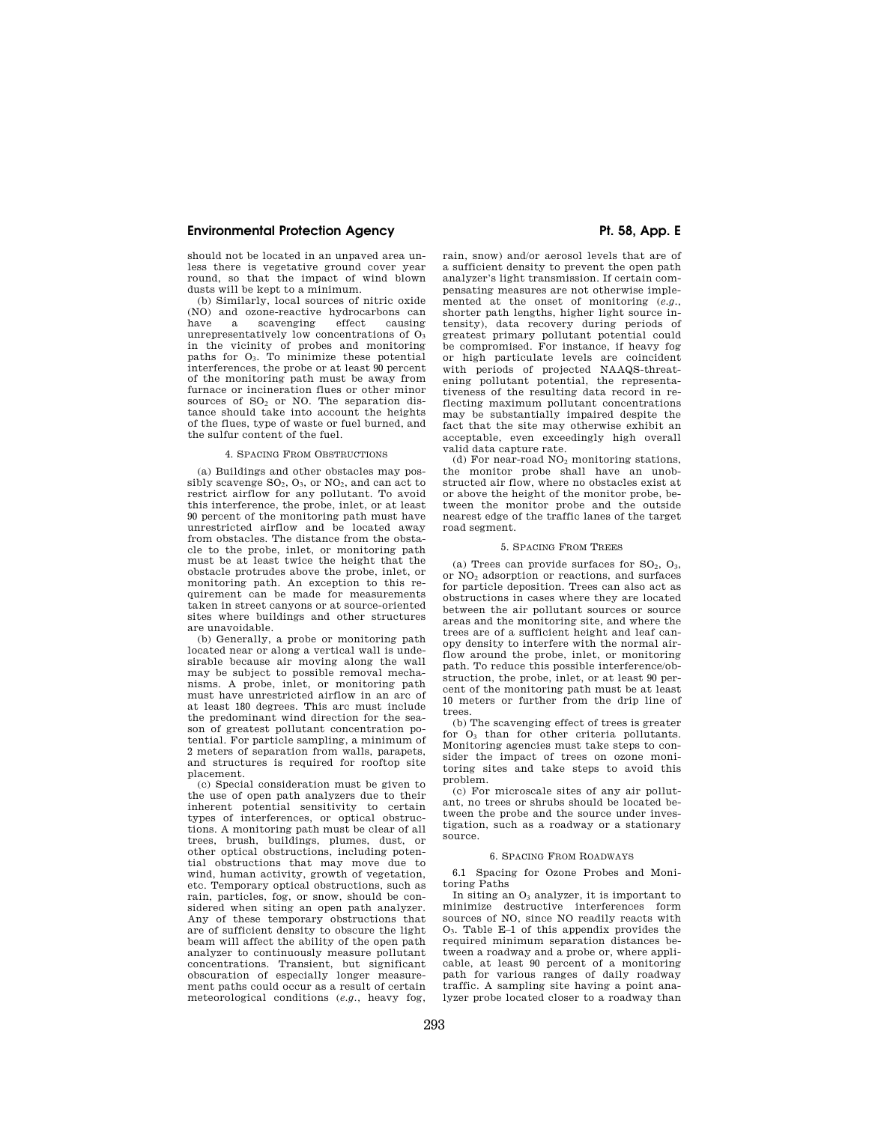## **Environmental Protection Agency Pt. 58, App. E**

should not be located in an unpaved area unless there is vegetative ground cover year round, so that the impact of wind blown dusts will be kept to a minimum.

(b) Similarly, local sources of nitric oxide (NO) and ozone-reactive hydrocarbons can have a scavenging effect causing unrepresentatively low concentrations of  $O_3$ in the vicinity of probes and monitoring paths for  $O_3$ . To minimize these potential interferences, the probe or at least  $90$  percent of the monitoring path must be away from furnace or incineration flues or other minor sources of  $SO<sub>2</sub>$  or NO. The separation distance should take into account the heights of the flues, type of waste or fuel burned, and the sulfur content of the fuel.

#### 4. SPACING FROM OBSTRUCTIONS

(a) Buildings and other obstacles may possibly scavenge  $SO_2$ ,  $O_3$ , or  $NO_2$ , and can act to restrict airflow for any pollutant. To avoid this interference, the probe, inlet, or at least 90 percent of the monitoring path must have unrestricted airflow and be located away from obstacles. The distance from the obstacle to the probe, inlet, or monitoring path must be at least twice the height that the obstacle protrudes above the probe, inlet, or monitoring path. An exception to this requirement can be made for measurements taken in street canyons or at source-oriented sites where buildings and other structures are unavoidable.

(b) Generally, a probe or monitoring path located near or along a vertical wall is undesirable because air moving along the wall may be subject to possible removal mechanisms. A probe, inlet, or monitoring path must have unrestricted airflow in an arc of at least 180 degrees. This arc must include the predominant wind direction for the season of greatest pollutant concentration potential. For particle sampling, a minimum of 2 meters of separation from walls, parapets, and structures is required for rooftop site placement.

(c) Special consideration must be given to the use of open path analyzers due to their inherent potential sensitivity to certain types of interferences, or optical obstructions. A monitoring path must be clear of all trees, brush, buildings, plumes, dust, or other optical obstructions, including potential obstructions that may move due to wind, human activity, growth of vegetation, etc. Temporary optical obstructions, such as rain, particles, fog, or snow, should be considered when siting an open path analyzer. Any of these temporary obstructions that are of sufficient density to obscure the light beam will affect the ability of the open path analyzer to continuously measure pollutant concentrations. Transient, but significant obscuration of especially longer measurement paths could occur as a result of certain meteorological conditions (*e.g.*, heavy fog,

rain, snow) and/or aerosol levels that are of a sufficient density to prevent the open path analyzer's light transmission. If certain compensating measures are not otherwise implemented at the onset of monitoring (*e.g.*, shorter path lengths, higher light source intensity), data recovery during periods of greatest primary pollutant potential could be compromised. For instance, if heavy fog or high particulate levels are coincident with periods of projected NAAQS-threatening pollutant potential, the representativeness of the resulting data record in reflecting maximum pollutant concentrations may be substantially impaired despite the fact that the site may otherwise exhibit an acceptable, even exceedingly high overall valid data capture rate.

(d) For near-road  $NO<sub>2</sub>$  monitoring stations, the monitor probe shall have an unobstructed air flow, where no obstacles exist at or above the height of the monitor probe, between the monitor probe and the outside nearest edge of the traffic lanes of the target road segment.

## 5. SPACING FROM TREES

(a) Trees can provide surfaces for  $SO_2$ ,  $O_3$ , or NO<sup>2</sup> adsorption or reactions, and surfaces for particle deposition. Trees can also act as obstructions in cases where they are located between the air pollutant sources or source areas and the monitoring site, and where the trees are of a sufficient height and leaf canopy density to interfere with the normal airflow around the probe, inlet, or monitoring path. To reduce this possible interference/obstruction, the probe, inlet, or at least 90 percent of the monitoring path must be at least 10 meters or further from the drip line of trees.

(b) The scavenging effect of trees is greater for  $O<sub>3</sub>$  than for other criteria pollutants. Monitoring agencies must take steps to consider the impact of trees on ozone monitoring sites and take steps to avoid this problem.

(c) For microscale sites of any air pollutant, no trees or shrubs should be located between the probe and the source under investigation, such as a roadway or a stationary source.

### 6. SPACING FROM ROADWAYS

6.1 Spacing for Ozone Probes and Monitoring Paths

In siting an  $O_3$  analyzer, it is important to minimize destructive interferences form sources of NO, since NO readily reacts with O3. Table E–1 of this appendix provides the required minimum separation distances between a roadway and a probe or, where applicable, at least 90 percent of a monitoring path for various ranges of daily roadway traffic. A sampling site having a point analyzer probe located closer to a roadway than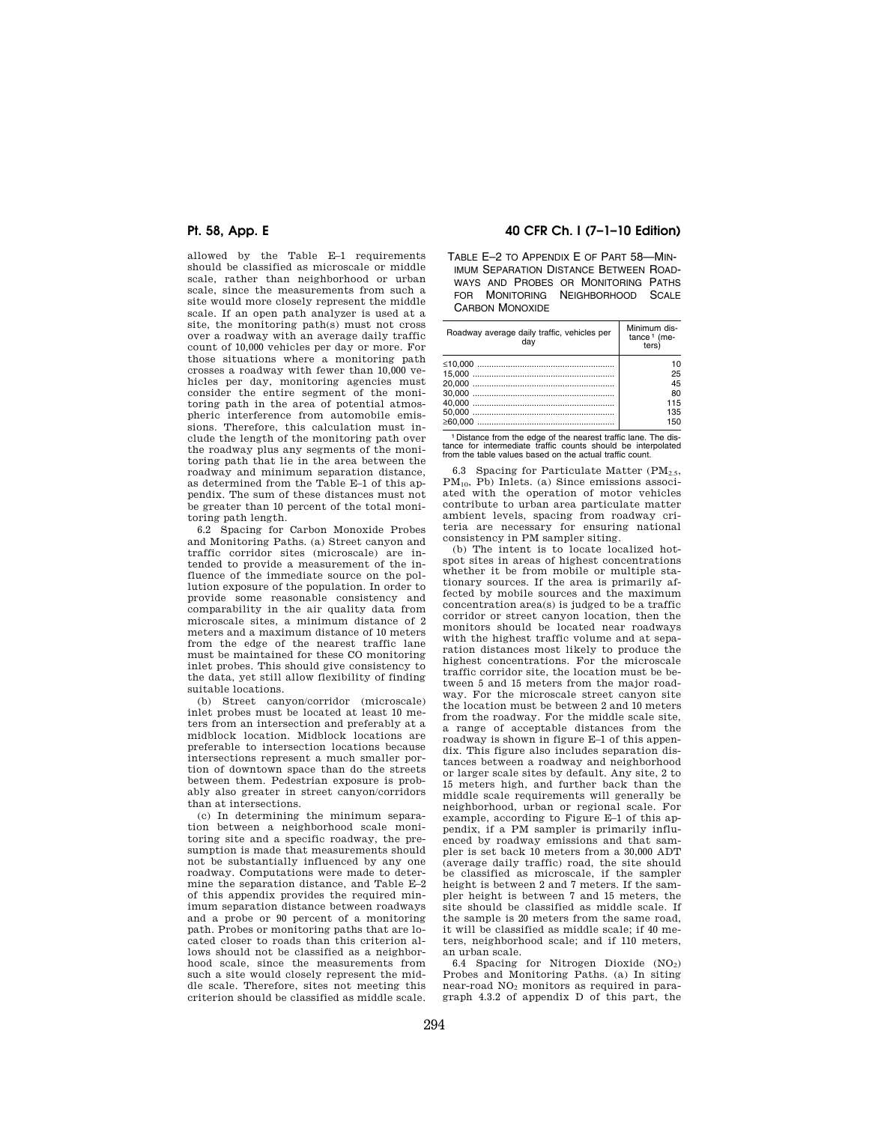allowed by the Table E–1 requirements should be classified as microscale or middle scale, rather than neighborhood or urban scale, since the measurements from such a site would more closely represent the middle scale. If an open path analyzer is used at a site, the monitoring path(s) must not cross over a roadway with an average daily traffic count of 10,000 vehicles per day or more. For those situations where a monitoring path crosses a roadway with fewer than 10,000 vehicles per day, monitoring agencies must consider the entire segment of the monitoring path in the area of potential atmospheric interference from automobile emissions. Therefore, this calculation must include the length of the monitoring path over the roadway plus any segments of the monitoring path that lie in the area between the roadway and minimum separation distance, as determined from the Table E–1 of this appendix. The sum of these distances must not be greater than 10 percent of the total monitoring path length.

6.2 Spacing for Carbon Monoxide Probes and Monitoring Paths. (a) Street canyon and traffic corridor sites (microscale) are intended to provide a measurement of the influence of the immediate source on the pollution exposure of the population. In order to provide some reasonable consistency and comparability in the air quality data from microscale sites, a minimum distance of 2 meters and a maximum distance of 10 meters from the edge of the nearest traffic lane must be maintained for these CO monitoring inlet probes. This should give consistency to the data, yet still allow flexibility of finding suitable locations.

(b) Street canyon/corridor (microscale) inlet probes must be located at least 10 meters from an intersection and preferably at a midblock location. Midblock locations are preferable to intersection locations because intersections represent a much smaller portion of downtown space than do the streets between them. Pedestrian exposure is probably also greater in street canyon/corridors than at intersections.

(c) In determining the minimum separation between a neighborhood scale monitoring site and a specific roadway, the presumption is made that measurements should not be substantially influenced by any one roadway. Computations were made to determine the separation distance, and Table E–2 of this appendix provides the required minimum separation distance between roadways and a probe or 90 percent of a monitoring path. Probes or monitoring paths that are located closer to roads than this criterion allows should not be classified as a neighborhood scale, since the measurements from such a site would closely represent the middle scale. Therefore, sites not meeting this criterion should be classified as middle scale.

## **Pt. 58, App. E 40 CFR Ch. I (7–1–10 Edition)**

TABLE E–2 TO APPENDIX E OF PART 58—MIN-IMUM SEPARATION DISTANCE BETWEEN ROAD-WAYS AND PROBES OR MONITORING PATHS FOR MONITORING NEIGHBORHOOD SCALE CARBON MONOXIDE

| Roadway average daily traffic, vehicles per<br>dav | Minimum dis-<br>$tance1$ (me-<br>ters) |
|----------------------------------------------------|----------------------------------------|
|                                                    | 10                                     |
|                                                    | 25                                     |
|                                                    | 45                                     |
|                                                    | 80                                     |
|                                                    | 115                                    |
|                                                    | 135                                    |
|                                                    | 150                                    |

1 Distance from the edge of the nearest traffic lane. The dis-tance for intermediate traffic counts should be interpolated from the table values based on the actual traffic count.

6.3 Spacing for Particulate Matter  $(PM_{2.5},$ PM10, Pb) Inlets. (a) Since emissions associated with the operation of motor vehicles contribute to urban area particulate matter ambient levels, spacing from roadway criteria are necessary for ensuring national consistency in PM sampler siting.

(b) The intent is to locate localized hotspot sites in areas of highest concentrations whether it be from mobile or multiple stationary sources. If the area is primarily affected by mobile sources and the maximum concentration area(s) is judged to be a traffic corridor or street canyon location, then the monitors should be located near roadways with the highest traffic volume and at separation distances most likely to produce the highest concentrations. For the microscale traffic corridor site, the location must be between 5 and 15 meters from the major roadway. For the microscale street canyon site the location must be between 2 and 10 meters from the roadway. For the middle scale site, a range of acceptable distances from the roadway is shown in figure E–1 of this appendix. This figure also includes separation distances between a roadway and neighborhood or larger scale sites by default. Any site, 2 to 15 meters high, and further back than the middle scale requirements will generally be neighborhood, urban or regional scale. For example, according to Figure E–1 of this appendix, if a PM sampler is primarily influenced by roadway emissions and that sampler is set back 10 meters from a 30,000 ADT (average daily traffic) road, the site should be classified as microscale, if the sampler height is between 2 and 7 meters. If the sampler height is between 7 and 15 meters, the site should be classified as middle scale. If the sample is 20 meters from the same road, it will be classified as middle scale; if 40 meters, neighborhood scale; and if 110 meters, an urban scale.

6.4 Spacing for Nitrogen Dioxide  $(NO<sub>2</sub>)$ Probes and Monitoring Paths. (a) In siting near-road NO<sub>2</sub> monitors as required in paragraph 4.3.2 of appendix D of this part, the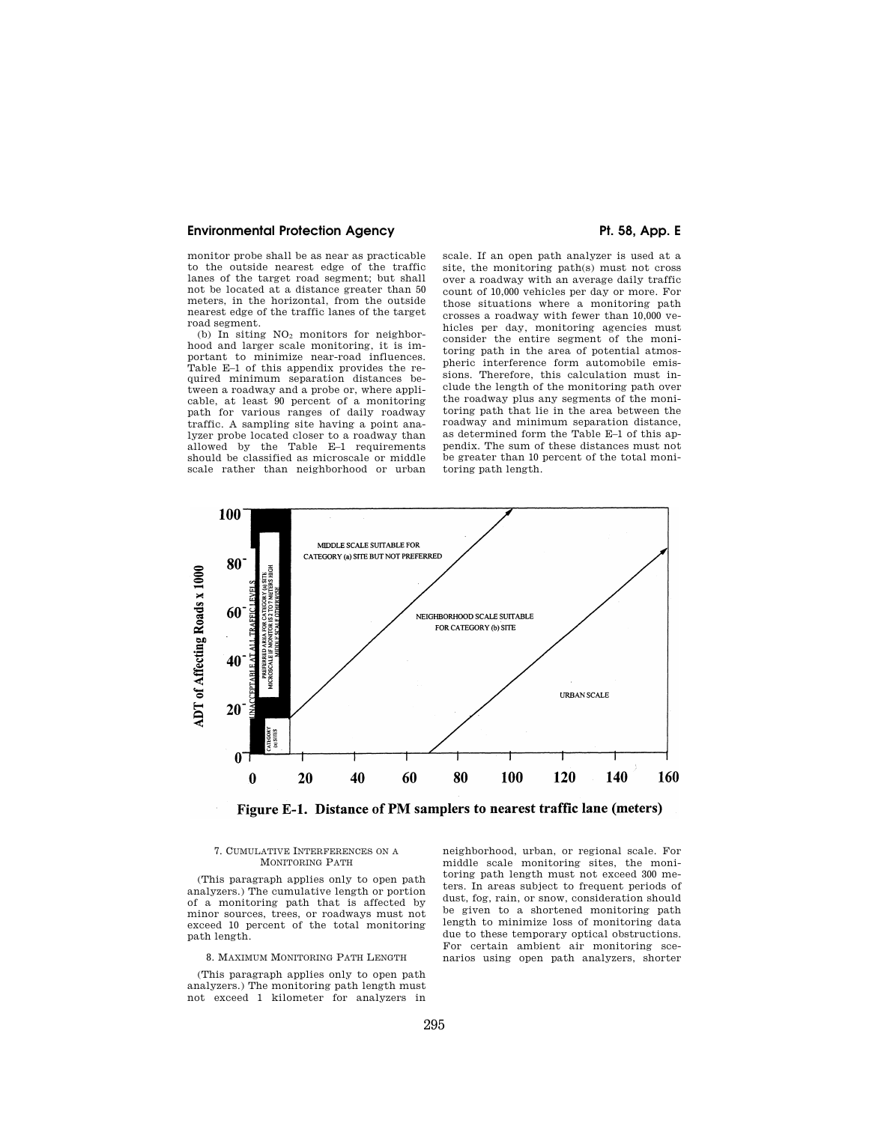## **Environmental Protection Agency Pt. 58, App. E**

monitor probe shall be as near as practicable to the outside nearest edge of the traffic lanes of the target road segment; but shall not be located at a distance greater than 50 meters, in the horizontal, from the outside nearest edge of the traffic lanes of the target road segment.

(b) In siting  $NO<sub>2</sub>$  monitors for neighborhood and larger scale monitoring, it is important to minimize near-road influences. Table E–1 of this appendix provides the required minimum separation distances between a roadway and a probe or, where applicable, at least 90 percent of a monitoring path for various ranges of daily roadway traffic. A sampling site having a point analyzer probe located closer to a roadway than allowed by the Table E–1 requirements should be classified as microscale or middle scale rather than neighborhood or urban

scale. If an open path analyzer is used at a site, the monitoring path(s) must not cross over a roadway with an average daily traffic count of 10,000 vehicles per day or more. For those situations where a monitoring path crosses a roadway with fewer than 10,000 vehicles per day, monitoring agencies must consider the entire segment of the monitoring path in the area of potential atmospheric interference form automobile emissions. Therefore, this calculation must include the length of the monitoring path over the roadway plus any segments of the monitoring path that lie in the area between the roadway and minimum separation distance, as determined form the Table E–1 of this appendix. The sum of these distances must not be greater than 10 percent of the total monitoring path length.



Figure E-1. Distance of PM samplers to nearest traffic lane (meters)

## 7. CUMULATIVE INTERFERENCES ON A MONITORING PATH

(This paragraph applies only to open path analyzers.) The cumulative length or portion of a monitoring path that is affected by minor sources, trees, or roadways must not exceed 10 percent of the total monitoring path length.

## 8. MAXIMUM MONITORING PATH LENGTH

(This paragraph applies only to open path analyzers.) The monitoring path length must not exceed 1 kilometer for analyzers in

neighborhood, urban, or regional scale. For middle scale monitoring sites, the monitoring path length must not exceed 300 meters. In areas subject to frequent periods of dust, fog, rain, or snow, consideration should be given to a shortened monitoring path length to minimize loss of monitoring data due to these temporary optical obstructions. For certain ambient air monitoring scenarios using open path analyzers, shorter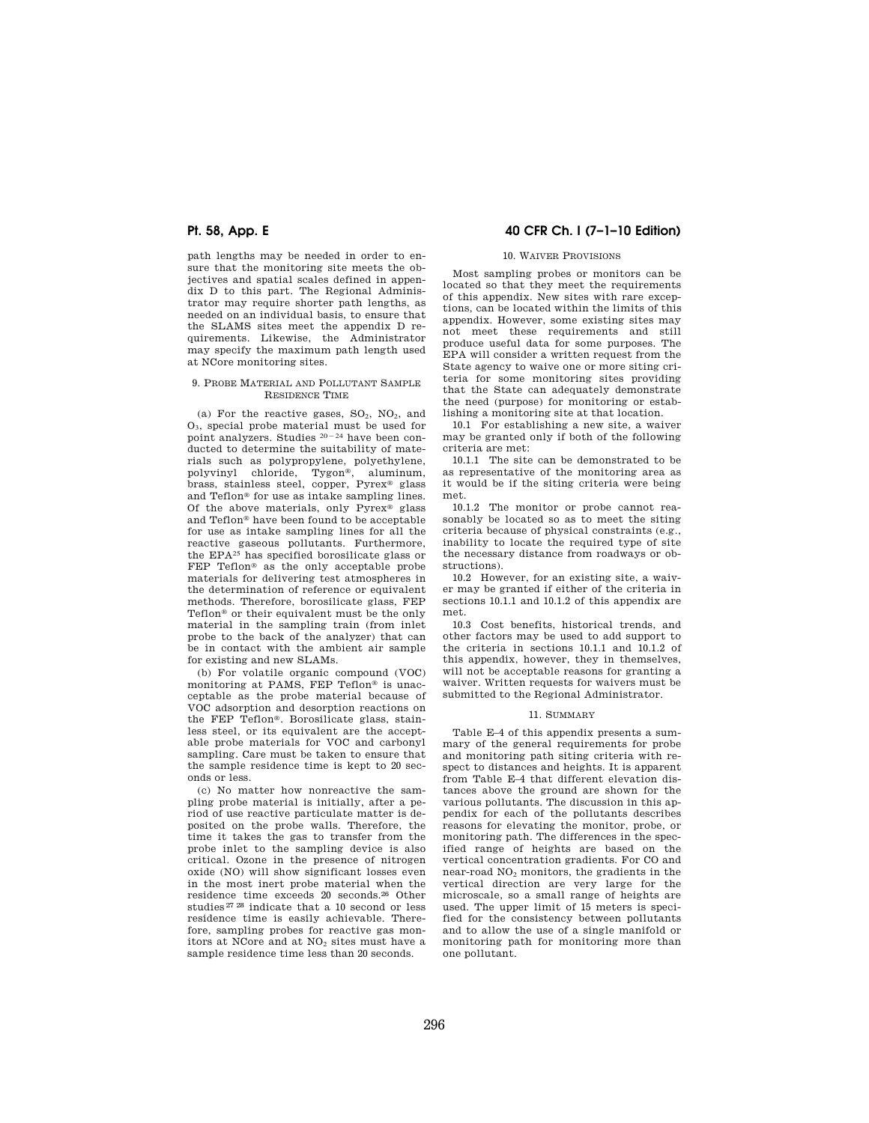path lengths may be needed in order to ensure that the monitoring site meets the objectives and spatial scales defined in appendix D to this part. The Regional Administrator may require shorter path lengths, as needed on an individual basis, to ensure that the SLAMS sites meet the appendix D requirements. Likewise, the Administrator may specify the maximum path length used at NCore monitoring sites.

### 9. PROBE MATERIAL AND POLLUTANT SAMPLE RESIDENCE TIME

(a) For the reactive gases,  $SO_2$ ,  $NO_2$ , and O3, special probe material must be used for point analyzers. Studies  $20 - 24$  have been conducted to determine the suitability of materials such as polypropylene, polyethylene, polyvinyl chloride, Tygon®, aluminum, brass, stainless steel, copper, Pyrex® glass and Teflon® for use as intake sampling lines. Of the above materials, only Pyrex® glass and Teflon® have been found to be acceptable for use as intake sampling lines for all the reactive gaseous pollutants. Furthermore, the EPA25 has specified borosilicate glass or FEP Teflon® as the only acceptable probe materials for delivering test atmospheres in the determination of reference or equivalent methods. Therefore, borosilicate glass, FEP Teflon® or their equivalent must be the only material in the sampling train (from inlet probe to the back of the analyzer) that can be in contact with the ambient air sample for existing and new SLAMs.

(b) For volatile organic compound (VOC) monitoring at PAMS, FEP Teflon® is unacceptable as the probe material because of VOC adsorption and desorption reactions on the FEP Teflon®. Borosilicate glass, stainless steel, or its equivalent are the acceptable probe materials for VOC and carbonyl sampling. Care must be taken to ensure that the sample residence time is kept to 20 seconds or less.

(c) No matter how nonreactive the sampling probe material is initially, after a period of use reactive particulate matter is deposited on the probe walls. Therefore, the time it takes the gas to transfer from the probe inlet to the sampling device is also critical. Ozone in the presence of nitrogen oxide (NO) will show significant losses even in the most inert probe material when the residence time exceeds 20 seconds.26 Other studies 27 28 indicate that a 10 second or less residence time is easily achievable. Therefore, sampling probes for reactive gas monitors at NCore and at NO<sub>2</sub> sites must have a sample residence time less than 20 seconds.

## **Pt. 58, App. E 40 CFR Ch. I (7–1–10 Edition)**

### 10. WAIVER PROVISIONS

Most sampling probes or monitors can be located so that they meet the requirements of this appendix. New sites with rare exceptions, can be located within the limits of this appendix. However, some existing sites may not meet these requirements and still produce useful data for some purposes. The EPA will consider a written request from the State agency to waive one or more siting criteria for some monitoring sites providing that the State can adequately demonstrate the need (purpose) for monitoring or establishing a monitoring site at that location.

10.1 For establishing a new site, a waiver may be granted only if both of the following criteria are met:

10.1.1 The site can be demonstrated to be as representative of the monitoring area as it would be if the siting criteria were being met.

10.1.2 The monitor or probe cannot reasonably be located so as to meet the siting criteria because of physical constraints (e.g., inability to locate the required type of site the necessary distance from roadways or obstructions).

10.2 However, for an existing site, a waiver may be granted if either of the criteria in sections 10.1.1 and 10.1.2 of this appendix are met.

10.3 Cost benefits, historical trends, and other factors may be used to add support to the criteria in sections 10.1.1 and 10.1.2 of this appendix, however, they in themselves, will not be acceptable reasons for granting a waiver. Written requests for waivers must be submitted to the Regional Administrator.

## 11. SUMMARY

Table E–4 of this appendix presents a summary of the general requirements for probe and monitoring path siting criteria with respect to distances and heights. It is apparent from Table E–4 that different elevation distances above the ground are shown for the various pollutants. The discussion in this appendix for each of the pollutants describes reasons for elevating the monitor, probe, or monitoring path. The differences in the specified range of heights are based on the vertical concentration gradients. For CO and near-road NO<sup>2</sup> monitors, the gradients in the vertical direction are very large for the microscale, so a small range of heights are used. The upper limit of 15 meters is specified for the consistency between pollutants and to allow the use of a single manifold or monitoring path for monitoring more than one pollutant.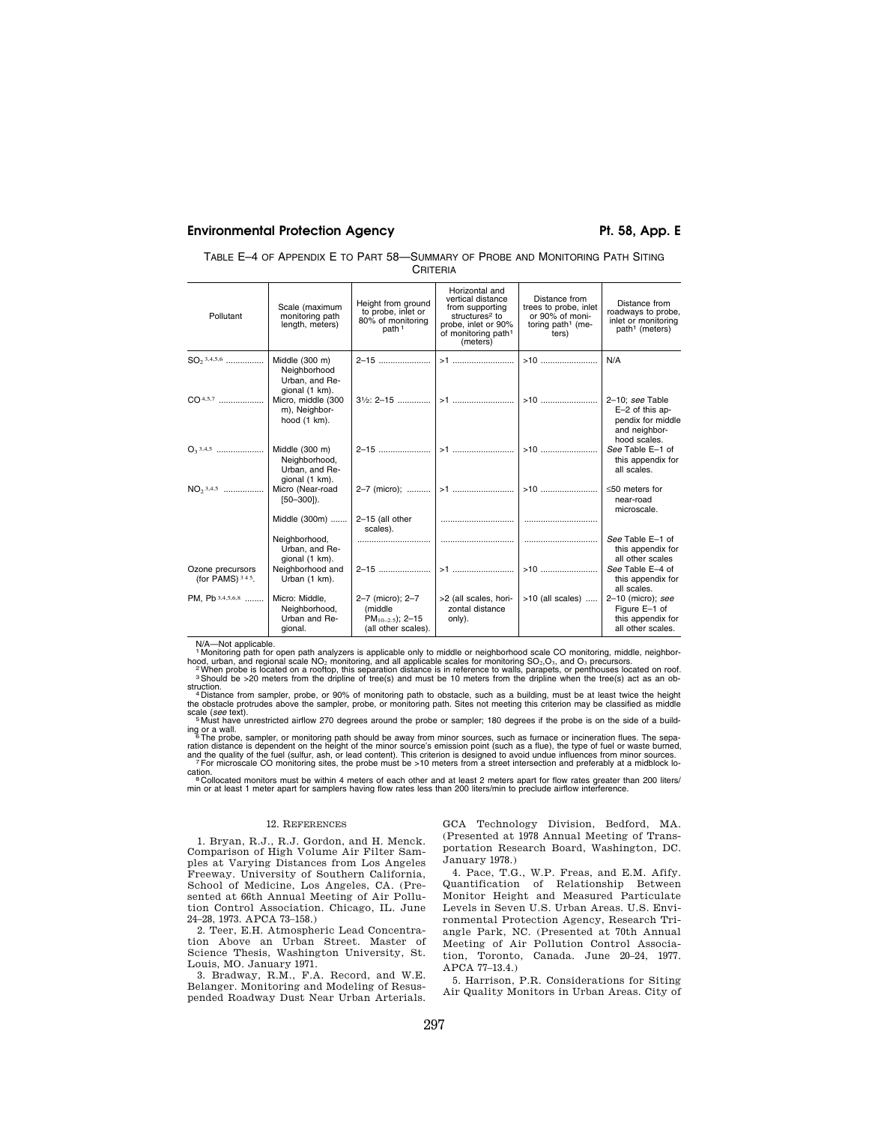## **Environmental Protection Agency Pt. 58, App. E**

| TABLE E-4 OF APPENDIX E TO PART 58—SUMMARY OF PROBE AND MONITORING PATH SITING |  |
|--------------------------------------------------------------------------------|--|
| CRITERIA                                                                       |  |

| Pollutant                              | Scale (maximum<br>monitoring path<br>length, meters)                     | Height from ground<br>to probe, inlet or<br>80% of monitoring<br>path <sup>1</sup> | Horizontal and<br>vertical distance<br>from supporting<br>structures <sup>2</sup> to<br>probe, inlet or 90%<br>of monitoring path <sup>1</sup><br>(meters) | Distance from<br>trees to probe, inlet<br>or 90% of moni-<br>toring path <sup>1</sup> (me-<br>ters) | Distance from<br>roadways to probe,<br>inlet or monitoring<br>path <sup>1</sup> (meters) |
|----------------------------------------|--------------------------------------------------------------------------|------------------------------------------------------------------------------------|------------------------------------------------------------------------------------------------------------------------------------------------------------|-----------------------------------------------------------------------------------------------------|------------------------------------------------------------------------------------------|
|                                        | Neighborhood<br>Urban, and Re-                                           | 2-15                                                                               |                                                                                                                                                            |                                                                                                     | N/A                                                                                      |
| $CO4,5,7$                              | gional (1 km).<br>Micro, middle (300<br>m), Neighbor-<br>hood $(1 km)$ . |                                                                                    |                                                                                                                                                            |                                                                                                     | 2-10; see Table<br>E-2 of this ap-<br>pendix for middle<br>and neighbor-                 |
|                                        | Middle (300 m)<br>Neighborhood,<br>Urban, and Re-                        |                                                                                    |                                                                                                                                                            |                                                                                                     | hood scales.<br>See Table E-1 of<br>this appendix for<br>all scales.                     |
| $NO2$ <sup>3,4,5</sup>                 | gional (1 km).<br>Micro (Near-road<br>$[50 - 300]$ .                     |                                                                                    |                                                                                                                                                            | $>10$                                                                                               | $\leq 50$ meters for<br>near-road<br>microscale.                                         |
|                                        | Middle (300m)                                                            | 2-15 (all other<br>scales).                                                        |                                                                                                                                                            |                                                                                                     |                                                                                          |
|                                        | Neighborhood,<br>Urban, and Re-<br>gional (1 km).                        |                                                                                    |                                                                                                                                                            |                                                                                                     | See Table E-1 of<br>this appendix for<br>all other scales                                |
| Ozone precursors<br>(for PAMS) $345$ . | Neighborhood and<br>Urban (1 km).                                        |                                                                                    |                                                                                                                                                            |                                                                                                     | See Table E-4 of<br>this appendix for<br>all scales.                                     |
| PM. Pb 3,4,5,6,8                       | Micro: Middle,<br>Neighborhood,<br>Urban and Re-<br>gional.              | 2-7 (micro); 2-7<br>(middle<br>$PM_{10-2.5}$ ; 2-15<br>(all other scales).         | >2 (all scales, hori-<br>zontal distance<br>only).                                                                                                         | $>10$ (all scales)                                                                                  | $2-10$ (micro); see<br>Figure E-1 of<br>this appendix for<br>all other scales.           |

 $N$ A—Not applicable.<br>
1 Monitoring path for open path analyzers is applicable only to middle or neighborhood scale CO monitoring, middle, neighbor-<br>
1 Monitoring path for open path analyzers is applicable scales for monit

struction.<br>"A Distance from sampler, probe, or 90% of monitoring path to obstacle, such as a building, must be at least twice the height<br>the obstacle protrudes above the sampler, probe, or monitoring path. Sites not meetin

scale (*see* text). 5 Must have unrestricted airflow 270 degrees around the probe or sampler; 180 degrees if the probe is on the side of a build-

ing or a wall.<br>The probe, sampler, or monitoring path should be away from minor sources, such as furnace or incineration flues. The separation distance is dependent on the height of the minor source's emission point (such

cation.<br>® Collocated monitors must be within 4 meters of each other and at least 2 meters apart for flow rates greater than 200 liters/<br>min or at least 1 meter apart for samplers having flow rates less than 200 liters/min

### 12. REFERENCES

1. Bryan, R.J., R.J. Gordon, and H. Menck. Comparison of High Volume Air Filter Samples at Varying Distances from Los Angeles Freeway. University of Southern California, School of Medicine, Los Angeles, CA. (Presented at 66th Annual Meeting of Air Pollution Control Association. Chicago, IL. June 24–28, 1973. APCA 73–158.)

2. Teer, E.H. Atmospheric Lead Concentration Above an Urban Street. Master of Science Thesis, Washington University, St. Louis, MO. January 1971.

3. Bradway, R.M., F.A. Record, and W.E. Belanger. Monitoring and Modeling of Resuspended Roadway Dust Near Urban Arterials. GCA Technology Division, Bedford, MA. (Presented at 1978 Annual Meeting of Transportation Research Board, Washington, DC. January 1978.)

4. Pace, T.G., W.P. Freas, and E.M. Afify. Quantification of Relationship Between Monitor Height and Measured Particulate Levels in Seven U.S. Urban Areas. U.S. Environmental Protection Agency, Research Triangle Park, NC. (Presented at 70th Annual Meeting of Air Pollution Control Association, Toronto, Canada. June 20–24, 1977. APCA 77–13.4.)

5. Harrison, P.R. Considerations for Siting Air Quality Monitors in Urban Areas. City of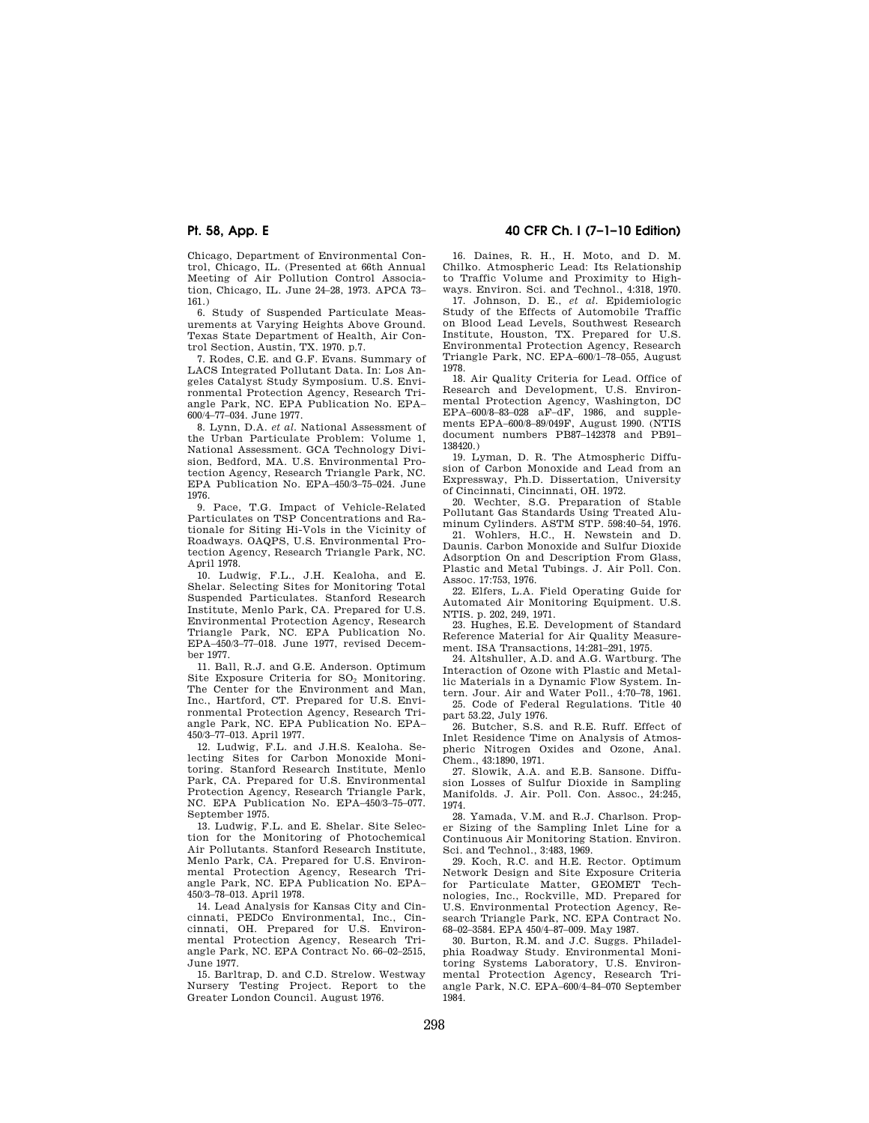Chicago, Department of Environmental Control, Chicago, IL. (Presented at 66th Annual Meeting of Air Pollution Control Association, Chicago, IL. June 24–28, 1973. APCA 73– 161.)

6. Study of Suspended Particulate Measurements at Varying Heights Above Ground. Texas State Department of Health, Air Control Section, Austin, TX. 1970. p.7.

7. Rodes, C.E. and G.F. Evans. Summary of LACS Integrated Pollutant Data. In: Los Angeles Catalyst Study Symposium. U.S. Environmental Protection Agency, Research Triangle Park, NC. EPA Publication No. EPA– 600/4–77–034. June 1977.

8. Lynn, D.A. *et al.* National Assessment of the Urban Particulate Problem: Volume 1, National Assessment. GCA Technology Division, Bedford, MA. U.S. Environmental Protection Agency, Research Triangle Park, NC. EPA Publication No. EPA–450/3–75–024. June 1976.

9. Pace, T.G. Impact of Vehicle-Related Particulates on TSP Concentrations and Rationale for Siting Hi-Vols in the Vicinity of Roadways. OAQPS, U.S. Environmental Protection Agency, Research Triangle Park, NC. April 1978.

10. Ludwig, F.L., J.H. Kealoha, and E. Shelar. Selecting Sites for Monitoring Total Suspended Particulates. Stanford Research Institute, Menlo Park, CA. Prepared for U.S. Environmental Protection Agency, Research Triangle Park, NC. EPA Publication No. EPA–450/3–77–018. June 1977, revised December 1977.

11. Ball, R.J. and G.E. Anderson. Optimum Site Exposure Criteria for SO<sub>2</sub> Monitoring. The Center for the Environment and Man, Inc., Hartford, CT. Prepared for U.S. Environmental Protection Agency, Research Triangle Park, NC. EPA Publication No. EPA– 450/3–77–013. April 1977.

12. Ludwig, F.L. and J.H.S. Kealoha. Selecting Sites for Carbon Monoxide Monitoring. Stanford Research Institute, Menlo Park, CA. Prepared for U.S. Environmental Protection Agency, Research Triangle Park, NC. EPA Publication No. EPA–450/3–75–077. September 1975.

13. Ludwig, F.L. and E. Shelar. Site Selection for the Monitoring of Photochemical Air Pollutants. Stanford Research Institute, Menlo Park, CA. Prepared for U.S. Environmental Protection Agency, Research Triangle Park, NC. EPA Publication No. EPA– 450/3–78–013. April 1978.

14. Lead Analysis for Kansas City and Cincinnati, PEDCo Environmental, Inc., Cincinnati, OH. Prepared for U.S. Environmental Protection Agency, Research Triangle Park, NC. EPA Contract No. 66–02–2515, June 1977.

15. Barltrap, D. and C.D. Strelow. Westway Nursery Testing Project. Report to the Greater London Council. August 1976.

## **Pt. 58, App. E 40 CFR Ch. I (7–1–10 Edition)**

16. Daines, R. H., H. Moto, and D. M. Chilko. Atmospheric Lead: Its Relationship to Traffic Volume and Proximity to Highways. Environ. Sci. and Technol., 4:318, 1970.

17. Johnson, D. E., *et al.* Epidemiologic Study of the Effects of Automobile Traffic on Blood Lead Levels, Southwest Research Institute, Houston, TX. Prepared for U.S. Environmental Protection Agency, Research Triangle Park, NC. EPA–600/1–78–055, August 1978.

18. Air Quality Criteria for Lead. Office of Research and Development, U.S. Environmental Protection Agency, Washington, DC EPA–600/8–83–028 aF–dF, 1986, and supple-ments EPA–600/8–89/049F, August 1990. (NTIS document numbers PB87–142378 and PB91– 138420.)

19. Lyman, D. R. The Atmospheric Diffusion of Carbon Monoxide and Lead from an Expressway, Ph.D. Dissertation, University of Cincinnati, Cincinnati, OH. 1972.

20. Wechter, S.G. Preparation of Stable Pollutant Gas Standards Using Treated Aluminum Cylinders. ASTM STP. 598:40–54, 1976.

21. Wohlers, H.C., H. Newstein and D. Daunis. Carbon Monoxide and Sulfur Dioxide Adsorption On and Description From Glass, Plastic and Metal Tubings. J. Air Poll. Con. Assoc. 17:753, 1976.

22. Elfers, L.A. Field Operating Guide for Automated Air Monitoring Equipment. U.S. NTIS. p. 202, 249, 1971.

23. Hughes, E.E. Development of Standard Reference Material for Air Quality Measurement. ISA Transactions, 14:281–291, 1975.

24. Altshuller, A.D. and A.G. Wartburg. The Interaction of Ozone with Plastic and Metallic Materials in a Dynamic Flow System. Intern. Jour. Air and Water Poll., 4:70–78, 1961.

25. Code of Federal Regulations. Title 40 part 53.22, July 1976.

26. Butcher, S.S. and R.E. Ruff. Effect of Inlet Residence Time on Analysis of Atmospheric Nitrogen Oxides and Ozone, Anal. Chem., 43:1890, 1971.

27. Slowik, A.A. and E.B. Sansone. Diffusion Losses of Sulfur Dioxide in Sampling Manifolds. J. Air. Poll. Con. Assoc., 24:245, 1974.

28. Yamada, V.M. and R.J. Charlson. Proper Sizing of the Sampling Inlet Line for a Continuous Air Monitoring Station. Environ. Sci. and Technol., 3:483, 1969.

29. Koch, R.C. and H.E. Rector. Optimum Network Design and Site Exposure Criteria for Particulate Matter, GEOMET Technologies, Inc., Rockville, MD. Prepared for U.S. Environmental Protection Agency, Research Triangle Park, NC. EPA Contract No. 68–02–3584. EPA 450/4–87–009. May 1987.

30. Burton, R.M. and J.C. Suggs. Philadelphia Roadway Study. Environmental Monitoring Systems Laboratory, U.S. Environmental Protection Agency, Research Triangle Park, N.C. EPA–600/4–84–070 September 1984.